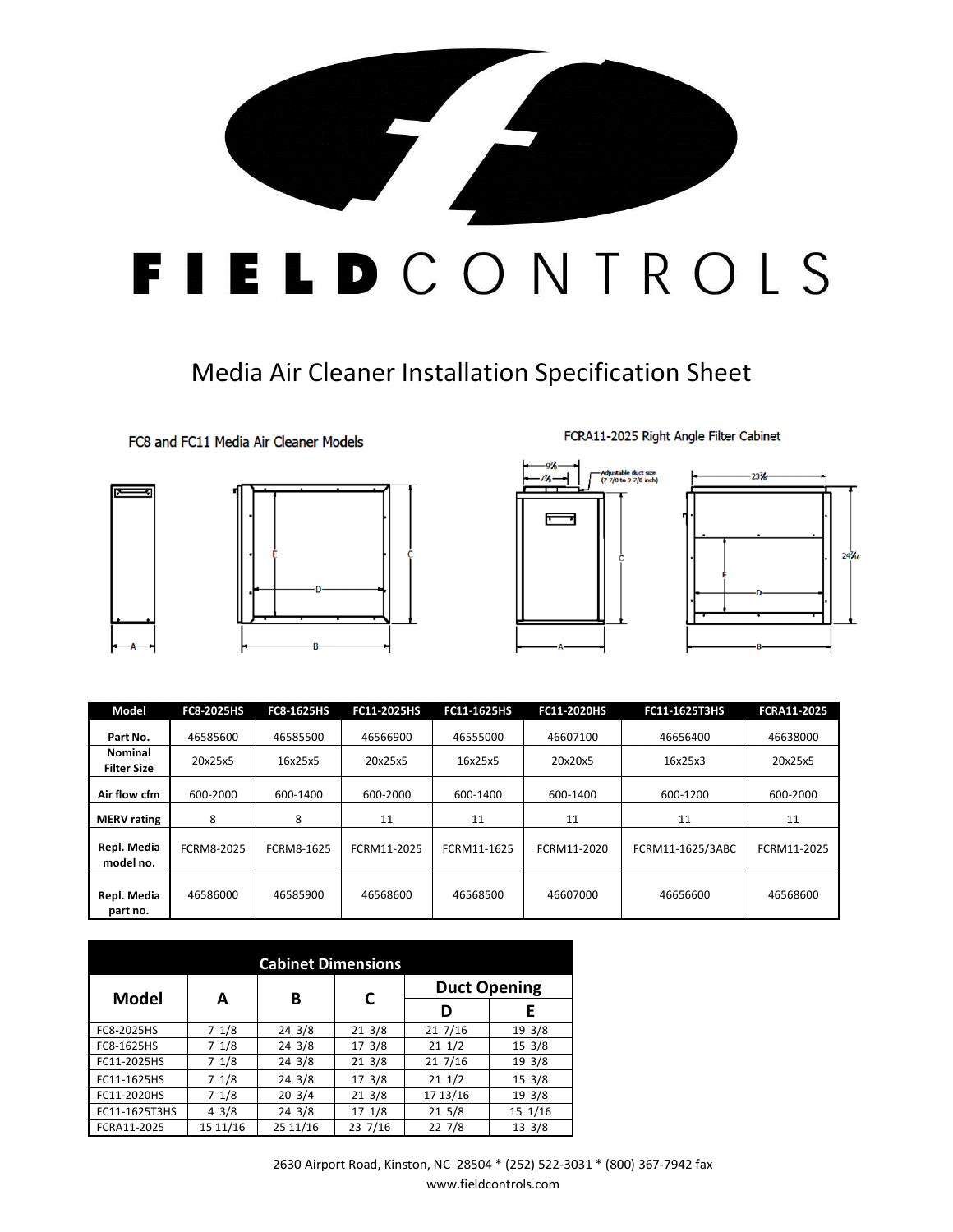

## Media Air Cleaner Installation Specification Sheet

FC8 and FC11 Media Air Cleaner Models









FCRA11-2025 Right Angle Filter Cabinet

| Model                                | <b>FC8-2025HS</b> | <b>FC8-1625HS</b> | FC11-2025HS | FC11-1625HS | FC11-2020HS | FC11-1625T3HS    | <b>FCRA11-2025</b> |
|--------------------------------------|-------------------|-------------------|-------------|-------------|-------------|------------------|--------------------|
| Part No.                             | 46585600          | 46585500          | 46566900    | 46555000    | 46607100    | 46656400         | 46638000           |
| <b>Nominal</b><br><b>Filter Size</b> | 20x25x5           | 16x25x5           | 20x25x5     | 16x25x5     | 20x20x5     | 16x25x3          | 20x25x5            |
| Air flow cfm                         | 600-2000          | 600-1400          | 600-2000    | 600-1400    | 600-1400    | 600-1200         | 600-2000           |
| <b>MERV</b> rating                   | 8                 | 8                 | 11          | 11          | 11          | 11               | 11                 |
| Repl. Media<br>model no.             | FCRM8-2025        | FCRM8-1625        | FCRM11-2025 | FCRM11-1625 | FCRM11-2020 | FCRM11-1625/3ABC | FCRM11-2025        |
| Repl. Media<br>part no.              | 46586000          | 46585900          | 46568600    | 46568500    | 46607000    | 46656600         | 46568600           |

| <b>Cabinet Dimensions</b> |                 |          |                  |                     |                  |  |  |  |  |  |
|---------------------------|-----------------|----------|------------------|---------------------|------------------|--|--|--|--|--|
| <b>Model</b>              | A               | В        | C                | <b>Duct Opening</b> |                  |  |  |  |  |  |
|                           |                 |          |                  | D                   | E                |  |  |  |  |  |
| FC8-2025HS                | 71/8            | 24 3/8   | 213/8            | 217/16              | 19 3/8           |  |  |  |  |  |
| FC8-1625HS                | 71/8            | 24 3/8   | 17 3/8           | 211/2               | $15 \frac{3}{8}$ |  |  |  |  |  |
| FC11-2025HS               | 7 1/8           | 24 3/8   | $21 \frac{3}{8}$ | 217/16              | 19 3/8           |  |  |  |  |  |
| FC11-1625HS               | 71/8            | 24 3/8   | $17 \frac{3}{8}$ | $21 \frac{1}{2}$    | $15 \frac{3}{8}$ |  |  |  |  |  |
| FC11-2020HS               | 71/8            | 203/4    | 213/8            | 17 13/16            | 19 3/8           |  |  |  |  |  |
| FC11-1625T3HS             | $4 \frac{3}{8}$ | 24 3/8   | 17 1/8           | $21 \frac{5}{8}$    | 15 1/16          |  |  |  |  |  |
| FCRA11-2025               | 15 11/16        | 25 11/16 | 23 7/16          | 22 7/8              | 13 3/8           |  |  |  |  |  |

2630 Airport Road, Kinston, NC 28504 \* (252) 522-3031 \* (800) 367-7942 fax www.fieldcontrols.com